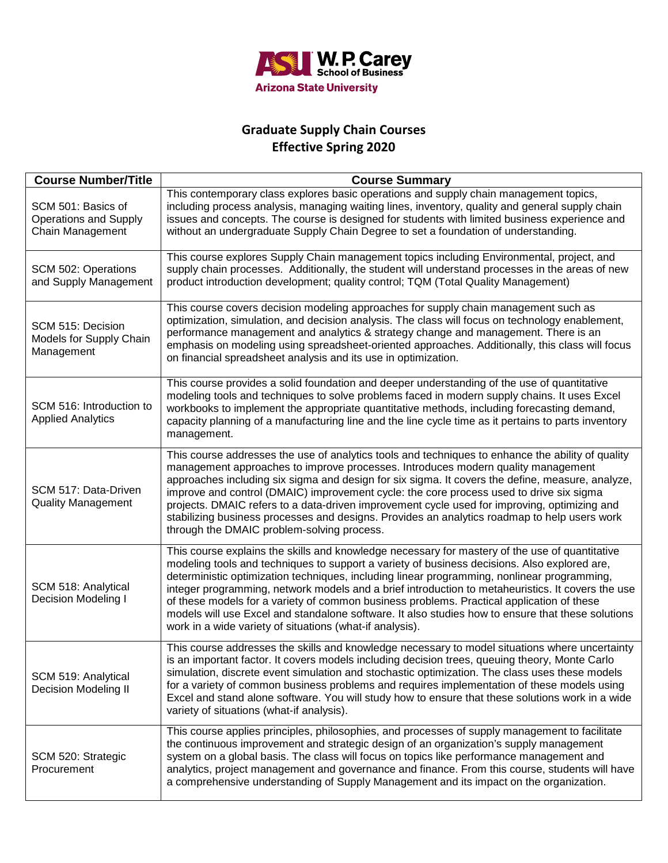

## **Graduate Supply Chain Courses Effective Spring 2020**

| <b>Course Number/Title</b>                                             | <b>Course Summary</b>                                                                                                                                                                                                                                                                                                                                                                                                                                                                                                                                                                                                                                            |
|------------------------------------------------------------------------|------------------------------------------------------------------------------------------------------------------------------------------------------------------------------------------------------------------------------------------------------------------------------------------------------------------------------------------------------------------------------------------------------------------------------------------------------------------------------------------------------------------------------------------------------------------------------------------------------------------------------------------------------------------|
| SCM 501: Basics of<br><b>Operations and Supply</b><br>Chain Management | This contemporary class explores basic operations and supply chain management topics,<br>including process analysis, managing waiting lines, inventory, quality and general supply chain<br>issues and concepts. The course is designed for students with limited business experience and<br>without an undergraduate Supply Chain Degree to set a foundation of understanding.                                                                                                                                                                                                                                                                                  |
| SCM 502: Operations<br>and Supply Management                           | This course explores Supply Chain management topics including Environmental, project, and<br>supply chain processes. Additionally, the student will understand processes in the areas of new<br>product introduction development; quality control; TQM (Total Quality Management)                                                                                                                                                                                                                                                                                                                                                                                |
| SCM 515: Decision<br>Models for Supply Chain<br>Management             | This course covers decision modeling approaches for supply chain management such as<br>optimization, simulation, and decision analysis. The class will focus on technology enablement,<br>performance management and analytics & strategy change and management. There is an<br>emphasis on modeling using spreadsheet-oriented approaches. Additionally, this class will focus<br>on financial spreadsheet analysis and its use in optimization.                                                                                                                                                                                                                |
| SCM 516: Introduction to<br><b>Applied Analytics</b>                   | This course provides a solid foundation and deeper understanding of the use of quantitative<br>modeling tools and techniques to solve problems faced in modern supply chains. It uses Excel<br>workbooks to implement the appropriate quantitative methods, including forecasting demand,<br>capacity planning of a manufacturing line and the line cycle time as it pertains to parts inventory<br>management.                                                                                                                                                                                                                                                  |
| SCM 517: Data-Driven<br><b>Quality Management</b>                      | This course addresses the use of analytics tools and techniques to enhance the ability of quality<br>management approaches to improve processes. Introduces modern quality management<br>approaches including six sigma and design for six sigma. It covers the define, measure, analyze,<br>improve and control (DMAIC) improvement cycle: the core process used to drive six sigma<br>projects. DMAIC refers to a data-driven improvement cycle used for improving, optimizing and<br>stabilizing business processes and designs. Provides an analytics roadmap to help users work<br>through the DMAIC problem-solving process.                               |
| SCM 518: Analytical<br><b>Decision Modeling I</b>                      | This course explains the skills and knowledge necessary for mastery of the use of quantitative<br>modeling tools and techniques to support a variety of business decisions. Also explored are,<br>deterministic optimization techniques, including linear programming, nonlinear programming,<br>integer programming, network models and a brief introduction to metaheuristics. It covers the use<br>of these models for a variety of common business problems. Practical application of these<br>models will use Excel and standalone software. It also studies how to ensure that these solutions<br>work in a wide variety of situations (what-if analysis). |
| SCM 519: Analytical<br><b>Decision Modeling II</b>                     | This course addresses the skills and knowledge necessary to model situations where uncertainty<br>is an important factor. It covers models including decision trees, queuing theory, Monte Carlo<br>simulation, discrete event simulation and stochastic optimization. The class uses these models<br>for a variety of common business problems and requires implementation of these models using<br>Excel and stand alone software. You will study how to ensure that these solutions work in a wide<br>variety of situations (what-if analysis).                                                                                                               |
| SCM 520: Strategic<br>Procurement                                      | This course applies principles, philosophies, and processes of supply management to facilitate<br>the continuous improvement and strategic design of an organization's supply management<br>system on a global basis. The class will focus on topics like performance management and<br>analytics, project management and governance and finance. From this course, students will have<br>a comprehensive understanding of Supply Management and its impact on the organization.                                                                                                                                                                                 |